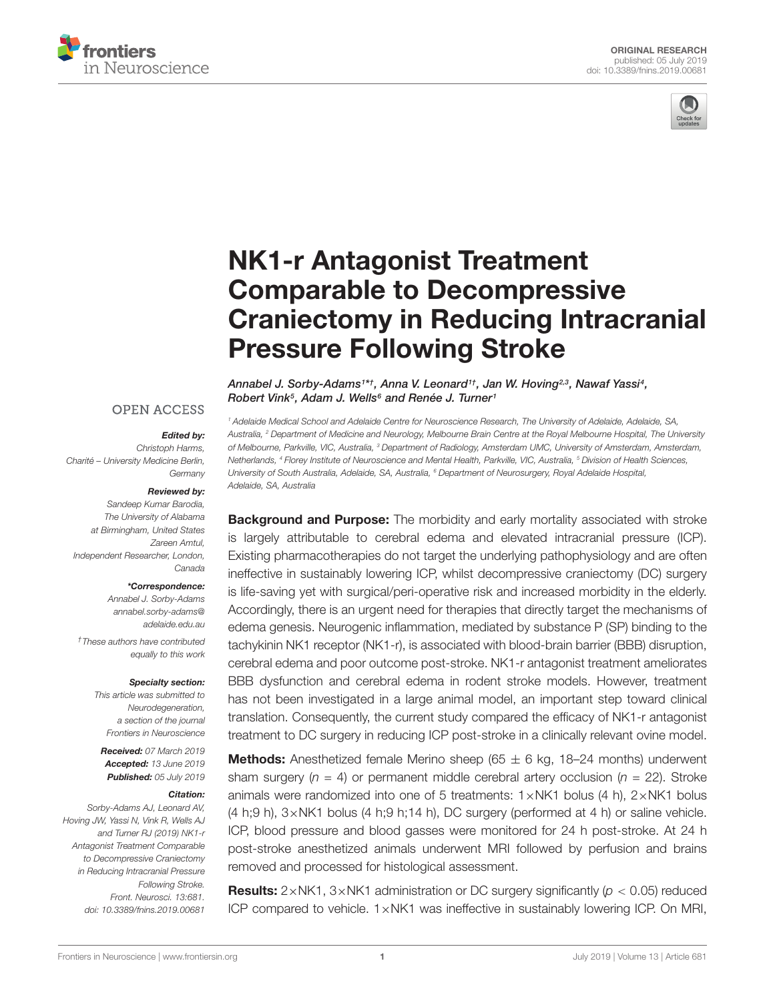



# NK1-r Antagonist Treatment Comparable to Decompressive [Craniectomy in Reducing Intracranial](https://www.frontiersin.org/articles/10.3389/fnins.2019.00681/full) Pressure Following Stroke

### **OPEN ACCESS**

#### Edited by:

Christoph Harms, Charité – University Medicine Berlin, **Germany** 

#### Reviewed by:

Sandeep Kumar Barodia, The University of Alabama at Birmingham, United States Zareen Amtul, Independent Researcher, London, Canada

#### \*Correspondence:

Annabel J. Sorby-Adams [annabel.sorby-adams@](mailto:annabel.sorby-adams@adelaide.edu.au) [adelaide.edu.au](mailto:annabel.sorby-adams@adelaide.edu.au)

†These authors have contributed equally to this work

#### Specialty section:

This article was submitted to Neurodegeneration, a section of the journal Frontiers in Neuroscience

Received: 07 March 2019 Accepted: 13 June 2019 Published: 05 July 2019

#### Citation:

Sorby-Adams AJ, Leonard AV, Hoving JW, Yassi N, Vink R, Wells AJ and Turner RJ (2019) NK1-r Antagonist Treatment Comparable to Decompressive Craniectomy in Reducing Intracranial Pressure Following Stroke. Front. Neurosci. 13:681. doi: [10.3389/fnins.2019.00681](https://doi.org/10.3389/fnins.2019.00681)

[Annabel J. Sorby-Adams](http://loop.frontiersin.org/people/656335/overview)1\*†, [Anna V. Leonard](http://loop.frontiersin.org/people/747154/overview)1†, [Jan W. Hoving](http://loop.frontiersin.org/people/713467/overview)2,3, [Nawaf Yassi](http://loop.frontiersin.org/people/434346/overview)4, [Robert Vink](http://loop.frontiersin.org/people/10306/overview)<sup>5</sup>, Adam J. Wells<sup>6</sup> and [Renée J. Turner](http://loop.frontiersin.org/people/282991/overview)<sup>1</sup>

<sup>1</sup> Adelaide Medical School and Adelaide Centre for Neuroscience Research, The University of Adelaide, Adelaide, SA, Australia, <sup>2</sup> Department of Medicine and Neurology, Melbourne Brain Centre at the Royal Melbourne Hospital, The University of Melbourne, Parkville, VIC, Australia, <sup>3</sup> Department of Radiology, Amsterdam UMC, University of Amsterdam, Amsterdam, Netherlands, <sup>4</sup> Florey Institute of Neuroscience and Mental Health, Parkville, VIC, Australia, <sup>5</sup> Division of Health Sciences, University of South Australia, Adelaide, SA, Australia, <sup>6</sup> Department of Neurosurgery, Royal Adelaide Hospital, Adelaide, SA, Australia

**Background and Purpose:** The morbidity and early mortality associated with stroke is largely attributable to cerebral edema and elevated intracranial pressure (ICP). Existing pharmacotherapies do not target the underlying pathophysiology and are often ineffective in sustainably lowering ICP, whilst decompressive craniectomy (DC) surgery is life-saving yet with surgical/peri-operative risk and increased morbidity in the elderly. Accordingly, there is an urgent need for therapies that directly target the mechanisms of edema genesis. Neurogenic inflammation, mediated by substance P (SP) binding to the tachykinin NK1 receptor (NK1-r), is associated with blood-brain barrier (BBB) disruption, cerebral edema and poor outcome post-stroke. NK1-r antagonist treatment ameliorates BBB dysfunction and cerebral edema in rodent stroke models. However, treatment has not been investigated in a large animal model, an important step toward clinical translation. Consequently, the current study compared the efficacy of NK1-r antagonist treatment to DC surgery in reducing ICP post-stroke in a clinically relevant ovine model.

**Methods:** Anesthetized female Merino sheep (65  $\pm$  6 kg, 18–24 months) underwent sham surgery ( $n = 4$ ) or permanent middle cerebral artery occlusion ( $n = 22$ ). Stroke animals were randomized into one of 5 treatments:  $1 \times N K1$  bolus (4 h),  $2 \times N K1$  bolus  $(4 h; 9 h)$ ,  $3 \times N K1$  bolus  $(4 h; 9 h; 14 h)$ , DC surgery (performed at 4 h) or saline vehicle. ICP, blood pressure and blood gasses were monitored for 24 h post-stroke. At 24 h post-stroke anesthetized animals underwent MRI followed by perfusion and brains removed and processed for histological assessment.

**Results:**  $2 \times NK1$ ,  $3 \times NK1$  administration or DC surgery significantly ( $p < 0.05$ ) reduced ICP compared to vehicle. 1×NK1 was ineffective in sustainably lowering ICP. On MRI,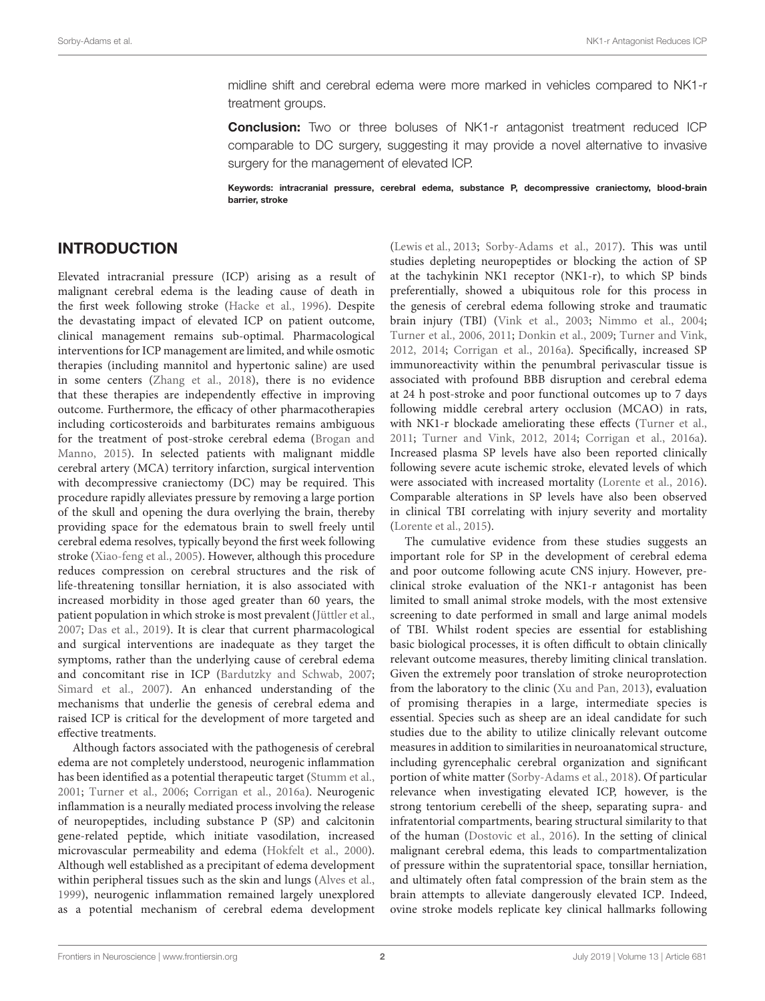midline shift and cerebral edema were more marked in vehicles compared to NK1-r treatment groups.

**Conclusion:** Two or three boluses of NK1-r antagonist treatment reduced ICP comparable to DC surgery, suggesting it may provide a novel alternative to invasive surgery for the management of elevated ICP.

Keywords: intracranial pressure, cerebral edema, substance P, decompressive craniectomy, blood-brain barrier, stroke

## INTRODUCTION

Elevated intracranial pressure (ICP) arising as a result of malignant cerebral edema is the leading cause of death in the first week following stroke [\(Hacke et al.,](#page-10-0) [1996\)](#page-10-0). Despite the devastating impact of elevated ICP on patient outcome, clinical management remains sub-optimal. Pharmacological interventions for ICP management are limited, and while osmotic therapies (including mannitol and hypertonic saline) are used in some centers [\(Zhang et al.,](#page-11-0) [2018\)](#page-11-0), there is no evidence that these therapies are independently effective in improving outcome. Furthermore, the efficacy of other pharmacotherapies including corticosteroids and barbiturates remains ambiguous for the treatment of post-stroke cerebral edema [\(Brogan and](#page-10-1) [Manno,](#page-10-1) [2015\)](#page-10-1). In selected patients with malignant middle cerebral artery (MCA) territory infarction, surgical intervention with decompressive craniectomy (DC) may be required. This procedure rapidly alleviates pressure by removing a large portion of the skull and opening the dura overlying the brain, thereby providing space for the edematous brain to swell freely until cerebral edema resolves, typically beyond the first week following stroke [\(Xiao-feng et al.,](#page-11-1) [2005\)](#page-11-1). However, although this procedure reduces compression on cerebral structures and the risk of life-threatening tonsillar herniation, it is also associated with increased morbidity in those aged greater than 60 years, the patient population in which stroke is most prevalent [\(Jüttler et al.,](#page-10-2) [2007;](#page-10-2) [Das et al.,](#page-10-3) [2019\)](#page-10-3). It is clear that current pharmacological and surgical interventions are inadequate as they target the symptoms, rather than the underlying cause of cerebral edema and concomitant rise in ICP [\(Bardutzky and Schwab,](#page-10-4) [2007;](#page-10-4) [Simard et al.,](#page-11-2) [2007\)](#page-11-2). An enhanced understanding of the mechanisms that underlie the genesis of cerebral edema and raised ICP is critical for the development of more targeted and effective treatments.

Although factors associated with the pathogenesis of cerebral edema are not completely understood, neurogenic inflammation has been identified as a potential therapeutic target [\(Stumm et al.,](#page-11-3) [2001;](#page-11-3) [Turner et al.,](#page-11-4) [2006;](#page-11-4) [Corrigan et al.,](#page-10-5) [2016a\)](#page-10-5). Neurogenic inflammation is a neurally mediated process involving the release of neuropeptides, including substance P (SP) and calcitonin gene-related peptide, which initiate vasodilation, increased microvascular permeability and edema [\(Hokfelt et al.,](#page-10-6) [2000\)](#page-10-6). Although well established as a precipitant of edema development within peripheral tissues such as the skin and lungs [\(Alves et al.,](#page-10-7) [1999\)](#page-10-7), neurogenic inflammation remained largely unexplored as a potential mechanism of cerebral edema development

[\(Lewis et al.,](#page-10-8) [2013;](#page-10-8) [Sorby-Adams et al.,](#page-11-5) [2017\)](#page-11-5). This was until studies depleting neuropeptides or blocking the action of SP at the tachykinin NK1 receptor (NK1-r), to which SP binds preferentially, showed a ubiquitous role for this process in the genesis of cerebral edema following stroke and traumatic brain injury (TBI) [\(Vink et al.,](#page-11-6) [2003;](#page-11-6) [Nimmo et al.,](#page-11-7) [2004;](#page-11-7) [Turner et al.,](#page-11-4) [2006,](#page-11-4) [2011;](#page-11-8) [Donkin et al.,](#page-10-9) [2009;](#page-10-9) [Turner and Vink,](#page-11-9) [2012,](#page-11-9) [2014;](#page-11-10) [Corrigan et al.,](#page-10-5) [2016a\)](#page-10-5). Specifically, increased SP immunoreactivity within the penumbral perivascular tissue is associated with profound BBB disruption and cerebral edema at 24 h post-stroke and poor functional outcomes up to 7 days following middle cerebral artery occlusion (MCAO) in rats, with NK1-r blockade ameliorating these effects [\(Turner et al.,](#page-11-8) [2011;](#page-11-8) [Turner and Vink,](#page-11-9) [2012,](#page-11-9) [2014;](#page-11-10) [Corrigan et al.,](#page-10-5) [2016a\)](#page-10-5). Increased plasma SP levels have also been reported clinically following severe acute ischemic stroke, elevated levels of which were associated with increased mortality [\(Lorente et al.,](#page-11-11) [2016\)](#page-11-11). Comparable alterations in SP levels have also been observed in clinical TBI correlating with injury severity and mortality [\(Lorente et al.,](#page-10-10) [2015\)](#page-10-10).

The cumulative evidence from these studies suggests an important role for SP in the development of cerebral edema and poor outcome following acute CNS injury. However, preclinical stroke evaluation of the NK1-r antagonist has been limited to small animal stroke models, with the most extensive screening to date performed in small and large animal models of TBI. Whilst rodent species are essential for establishing basic biological processes, it is often difficult to obtain clinically relevant outcome measures, thereby limiting clinical translation. Given the extremely poor translation of stroke neuroprotection from the laboratory to the clinic [\(Xu and Pan,](#page-11-12) [2013\)](#page-11-12), evaluation of promising therapies in a large, intermediate species is essential. Species such as sheep are an ideal candidate for such studies due to the ability to utilize clinically relevant outcome measures in addition to similarities in neuroanatomical structure, including gyrencephalic cerebral organization and significant portion of white matter [\(Sorby-Adams et al.,](#page-11-13) [2018\)](#page-11-13). Of particular relevance when investigating elevated ICP, however, is the strong tentorium cerebelli of the sheep, separating supra- and infratentorial compartments, bearing structural similarity to that of the human [\(Dostovic et al.,](#page-10-11) [2016\)](#page-10-11). In the setting of clinical malignant cerebral edema, this leads to compartmentalization of pressure within the supratentorial space, tonsillar herniation, and ultimately often fatal compression of the brain stem as the brain attempts to alleviate dangerously elevated ICP. Indeed, ovine stroke models replicate key clinical hallmarks following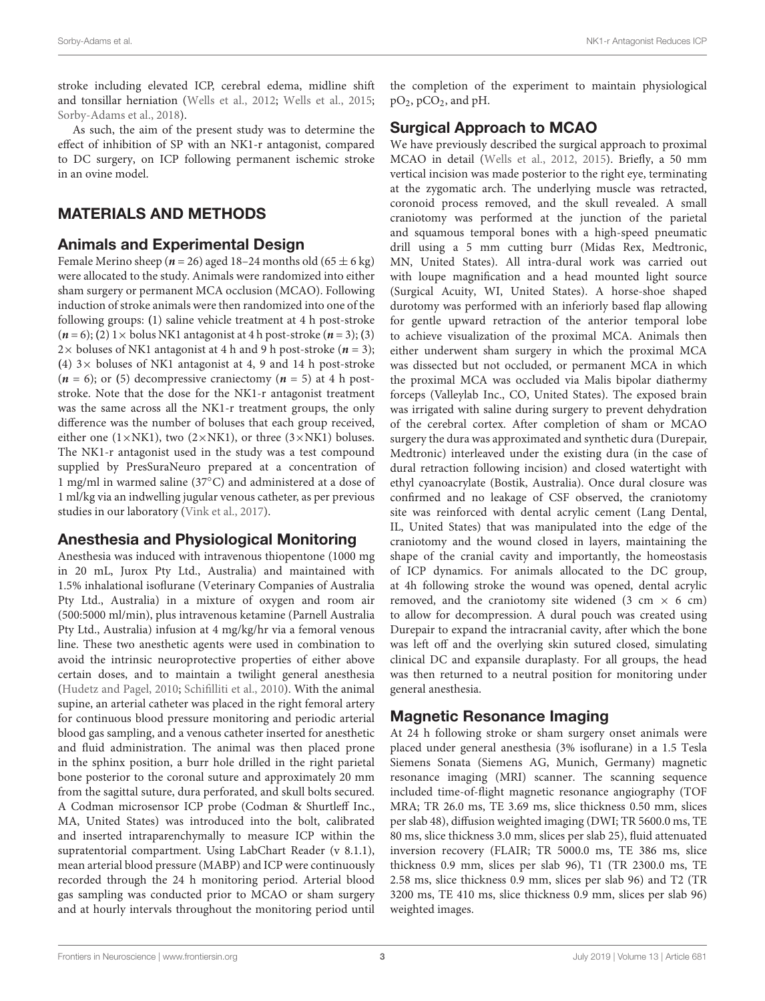stroke including elevated ICP, cerebral edema, midline shift and tonsillar herniation [\(Wells et al.,](#page-11-14) [2012;](#page-11-14) [Wells et al.,](#page-11-15) [2015;](#page-11-15) [Sorby-Adams et al.,](#page-11-13) [2018\)](#page-11-13).

As such, the aim of the present study was to determine the effect of inhibition of SP with an NK1-r antagonist, compared to DC surgery, on ICP following permanent ischemic stroke in an ovine model.

# MATERIALS AND METHODS

### Animals and Experimental Design

Female Merino sheep ( $n = 26$ ) aged 18–24 months old ( $65 \pm 6$  kg) were allocated to the study. Animals were randomized into either sham surgery or permanent MCA occlusion (MCAO). Following induction of stroke animals were then randomized into one of the following groups: **(**1) saline vehicle treatment at 4 h post-stroke  $(n=6)$ ; (2) 1  $\times$  bolus NK1 antagonist at 4 h post-stroke  $(n=3)$ ; (3) 2 $\times$  boluses of NK1 antagonist at 4 h and 9 h post-stroke ( $n = 3$ ); **(**4) 3× boluses of NK1 antagonist at 4, 9 and 14 h post-stroke  $(n = 6)$ ; or (5) decompressive craniectomy  $(n = 5)$  at 4 h poststroke. Note that the dose for the NK1-r antagonist treatment was the same across all the NK1-r treatment groups, the only difference was the number of boluses that each group received, either one (1×NK1), two (2×NK1), or three (3×NK1) boluses. The NK1-r antagonist used in the study was a test compound supplied by PresSuraNeuro prepared at a concentration of 1 mg/ml in warmed saline (37◦C) and administered at a dose of 1 ml/kg via an indwelling jugular venous catheter, as per previous studies in our laboratory [\(Vink et al.,](#page-11-16) [2017\)](#page-11-16).

# Anesthesia and Physiological Monitoring

Anesthesia was induced with intravenous thiopentone (1000 mg in 20 mL, Jurox Pty Ltd., Australia) and maintained with 1.5% inhalational isoflurane (Veterinary Companies of Australia Pty Ltd., Australia) in a mixture of oxygen and room air (500:5000 ml/min), plus intravenous ketamine (Parnell Australia Pty Ltd., Australia) infusion at 4 mg/kg/hr via a femoral venous line. These two anesthetic agents were used in combination to avoid the intrinsic neuroprotective properties of either above certain doses, and to maintain a twilight general anesthesia [\(Hudetz and Pagel,](#page-10-12) [2010;](#page-10-12) [Schifilliti et al.,](#page-11-17) [2010\)](#page-11-17). With the animal supine, an arterial catheter was placed in the right femoral artery for continuous blood pressure monitoring and periodic arterial blood gas sampling, and a venous catheter inserted for anesthetic and fluid administration. The animal was then placed prone in the sphinx position, a burr hole drilled in the right parietal bone posterior to the coronal suture and approximately 20 mm from the sagittal suture, dura perforated, and skull bolts secured. A Codman microsensor ICP probe (Codman & Shurtleff Inc., MA, United States) was introduced into the bolt, calibrated and inserted intraparenchymally to measure ICP within the supratentorial compartment. Using LabChart Reader (v 8.1.1), mean arterial blood pressure (MABP) and ICP were continuously recorded through the 24 h monitoring period. Arterial blood gas sampling was conducted prior to MCAO or sham surgery and at hourly intervals throughout the monitoring period until

the completion of the experiment to maintain physiological pO2, pCO2, and pH.

# Surgical Approach to MCAO

We have previously described the surgical approach to proximal MCAO in detail [\(Wells et al.,](#page-11-14) [2012,](#page-11-14) [2015\)](#page-11-15). Briefly, a 50 mm vertical incision was made posterior to the right eye, terminating at the zygomatic arch. The underlying muscle was retracted, coronoid process removed, and the skull revealed. A small craniotomy was performed at the junction of the parietal and squamous temporal bones with a high-speed pneumatic drill using a 5 mm cutting burr (Midas Rex, Medtronic, MN, United States). All intra-dural work was carried out with loupe magnification and a head mounted light source (Surgical Acuity, WI, United States). A horse-shoe shaped durotomy was performed with an inferiorly based flap allowing for gentle upward retraction of the anterior temporal lobe to achieve visualization of the proximal MCA. Animals then either underwent sham surgery in which the proximal MCA was dissected but not occluded, or permanent MCA in which the proximal MCA was occluded via Malis bipolar diathermy forceps (Valleylab Inc., CO, United States). The exposed brain was irrigated with saline during surgery to prevent dehydration of the cerebral cortex. After completion of sham or MCAO surgery the dura was approximated and synthetic dura (Durepair, Medtronic) interleaved under the existing dura (in the case of dural retraction following incision) and closed watertight with ethyl cyanoacrylate (Bostik, Australia). Once dural closure was confirmed and no leakage of CSF observed, the craniotomy site was reinforced with dental acrylic cement (Lang Dental, IL, United States) that was manipulated into the edge of the craniotomy and the wound closed in layers, maintaining the shape of the cranial cavity and importantly, the homeostasis of ICP dynamics. For animals allocated to the DC group, at 4h following stroke the wound was opened, dental acrylic removed, and the craniotomy site widened (3 cm  $\times$  6 cm) to allow for decompression. A dural pouch was created using Durepair to expand the intracranial cavity, after which the bone was left off and the overlying skin sutured closed, simulating clinical DC and expansile duraplasty. For all groups, the head was then returned to a neutral position for monitoring under general anesthesia.

# Magnetic Resonance Imaging

At 24 h following stroke or sham surgery onset animals were placed under general anesthesia (3% isoflurane) in a 1.5 Tesla Siemens Sonata (Siemens AG, Munich, Germany) magnetic resonance imaging (MRI) scanner. The scanning sequence included time-of-flight magnetic resonance angiography (TOF MRA; TR 26.0 ms, TE 3.69 ms, slice thickness 0.50 mm, slices per slab 48), diffusion weighted imaging (DWI; TR 5600.0 ms, TE 80 ms, slice thickness 3.0 mm, slices per slab 25), fluid attenuated inversion recovery (FLAIR; TR 5000.0 ms, TE 386 ms, slice thickness 0.9 mm, slices per slab 96), T1 (TR 2300.0 ms, TE 2.58 ms, slice thickness 0.9 mm, slices per slab 96) and T2 (TR 3200 ms, TE 410 ms, slice thickness 0.9 mm, slices per slab 96) weighted images.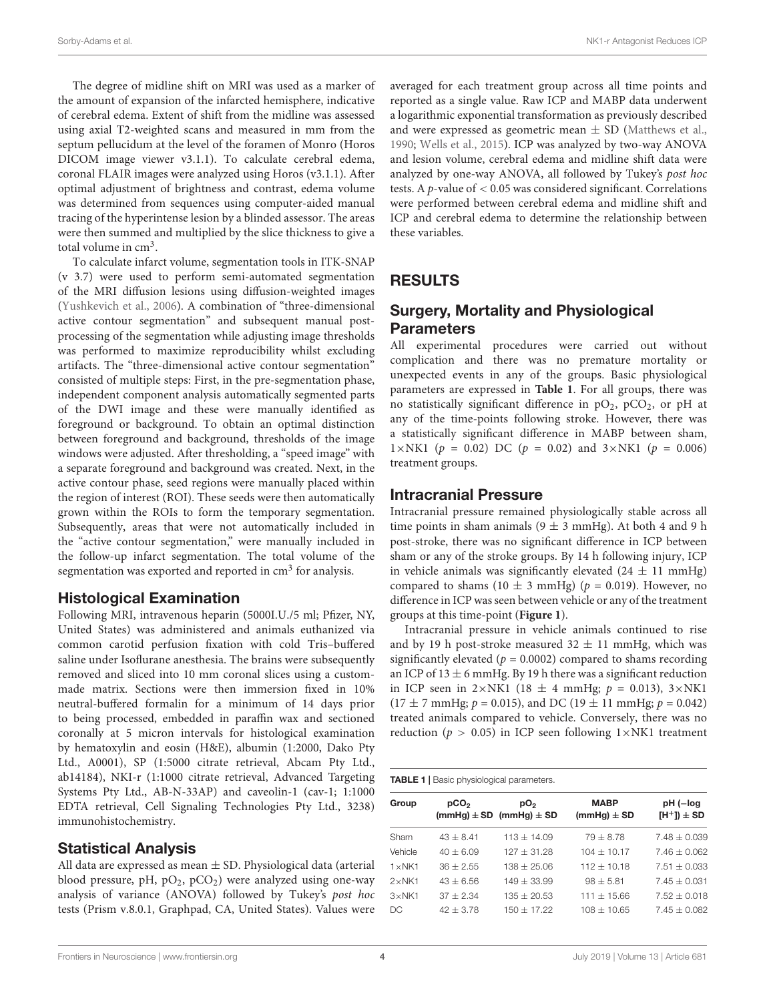The degree of midline shift on MRI was used as a marker of the amount of expansion of the infarcted hemisphere, indicative of cerebral edema. Extent of shift from the midline was assessed using axial T2-weighted scans and measured in mm from the septum pellucidum at the level of the foramen of Monro (Horos DICOM image viewer v3.1.1). To calculate cerebral edema, coronal FLAIR images were analyzed using Horos (v3.1.1). After optimal adjustment of brightness and contrast, edema volume was determined from sequences using computer-aided manual tracing of the hyperintense lesion by a blinded assessor. The areas were then summed and multiplied by the slice thickness to give a total volume in  $cm<sup>3</sup>$ .

To calculate infarct volume, segmentation tools in ITK-SNAP (v 3.7) were used to perform semi-automated segmentation of the MRI diffusion lesions using diffusion-weighted images [\(Yushkevich et al.,](#page-11-18) [2006\)](#page-11-18). A combination of "three-dimensional active contour segmentation" and subsequent manual postprocessing of the segmentation while adjusting image thresholds was performed to maximize reproducibility whilst excluding artifacts. The "three-dimensional active contour segmentation" consisted of multiple steps: First, in the pre-segmentation phase, independent component analysis automatically segmented parts of the DWI image and these were manually identified as foreground or background. To obtain an optimal distinction between foreground and background, thresholds of the image windows were adjusted. After thresholding, a "speed image" with a separate foreground and background was created. Next, in the active contour phase, seed regions were manually placed within the region of interest (ROI). These seeds were then automatically grown within the ROIs to form the temporary segmentation. Subsequently, areas that were not automatically included in the "active contour segmentation," were manually included in the follow-up infarct segmentation. The total volume of the segmentation was exported and reported in cm<sup>3</sup> for analysis.

### Histological Examination

Following MRI, intravenous heparin (5000I.U./5 ml; Pfizer, NY, United States) was administered and animals euthanized via common carotid perfusion fixation with cold Tris–buffered saline under Isoflurane anesthesia. The brains were subsequently removed and sliced into 10 mm coronal slices using a custommade matrix. Sections were then immersion fixed in 10% neutral-buffered formalin for a minimum of 14 days prior to being processed, embedded in paraffin wax and sectioned coronally at 5 micron intervals for histological examination by hematoxylin and eosin (H&E), albumin (1:2000, Dako Pty Ltd., A0001), SP (1:5000 citrate retrieval, Abcam Pty Ltd., ab14184), NKI-r (1:1000 citrate retrieval, Advanced Targeting Systems Pty Ltd., AB-N-33AP) and caveolin-1 (cav-1; 1:1000 EDTA retrieval, Cell Signaling Technologies Pty Ltd., 3238) immunohistochemistry.

### Statistical Analysis

All data are expressed as mean  $\pm$  SD. Physiological data (arterial blood pressure, pH,  $pO_2$ ,  $pCO_2$ ) were analyzed using one-way analysis of variance (ANOVA) followed by Tukey's post hoc tests (Prism v.8.0.1, Graphpad, CA, United States). Values were averaged for each treatment group across all time points and reported as a single value. Raw ICP and MABP data underwent a logarithmic exponential transformation as previously described and were expressed as geometric mean  $\pm$  SD [\(Matthews et al.,](#page-11-19) [1990;](#page-11-19) [Wells et al.,](#page-11-15) [2015\)](#page-11-15). ICP was analyzed by two-way ANOVA and lesion volume, cerebral edema and midline shift data were analyzed by one-way ANOVA, all followed by Tukey's post hoc tests. A *p*-value of  $< 0.05$  was considered significant. Correlations were performed between cerebral edema and midline shift and ICP and cerebral edema to determine the relationship between these variables.

### RESULTS

# Surgery, Mortality and Physiological **Parameters**

All experimental procedures were carried out without complication and there was no premature mortality or unexpected events in any of the groups. Basic physiological parameters are expressed in **[Table 1](#page-3-0)**. For all groups, there was no statistically significant difference in  $pO_2$ ,  $pCO_2$ , or  $pH$  at any of the time-points following stroke. However, there was a statistically significant difference in MABP between sham, 1×NK1 ( $p = 0.02$ ) DC ( $p = 0.02$ ) and 3×NK1 ( $p = 0.006$ ) treatment groups.

### Intracranial Pressure

Intracranial pressure remained physiologically stable across all time points in sham animals  $(9 \pm 3 \text{ mmHg})$ . At both 4 and 9 h post-stroke, there was no significant difference in ICP between sham or any of the stroke groups. By 14 h following injury, ICP in vehicle animals was significantly elevated  $(24 \pm 11 \text{ mmHg})$ compared to shams (10  $\pm$  3 mmHg) ( $p = 0.019$ ). However, no difference in ICP was seen between vehicle or any of the treatment groups at this time-point (**[Figure 1](#page-4-0)**).

Intracranial pressure in vehicle animals continued to rise and by 19 h post-stroke measured  $32 \pm 11$  mmHg, which was significantly elevated ( $p = 0.0002$ ) compared to shams recording an ICP of  $13 \pm 6$  mmHg. By 19 h there was a significant reduction in ICP seen in  $2 \times NK1$  (18  $\pm$  4 mmHg;  $p = 0.013$ ),  $3 \times NK1$  $(17 \pm 7 \text{ mmHg}; p = 0.015)$ , and DC  $(19 \pm 11 \text{ mmHg}; p = 0.042)$ treated animals compared to vehicle. Conversely, there was no reduction ( $p > 0.05$ ) in ICP seen following  $1 \times NKL$  treatment

#### <span id="page-3-0"></span>TABLE 1 | Basic physiological parameters.

| Group           | pCO <sub>2</sub> | pO <sub>2</sub><br>$(mmHg) \pm SD$ (mmHg) $\pm SD$ | <b>MABP</b><br>$(mmHg) \pm SD$ | pH (-log<br>$[H^+]$ $\pm$ SD |
|-----------------|------------------|----------------------------------------------------|--------------------------------|------------------------------|
| Sham            | $43 + 8.41$      | $113 + 14.09$                                      | $79 + 8.78$                    | $7.48 + 0.039$               |
| Vehicle         | $40 + 6.09$      | $127 + 31.28$                                      | $104 + 10.17$                  | $7.46 + 0.062$               |
| $1 \times$ NK1  | $36 + 2.55$      | $138 + 25.06$                                      | $112 + 10.18$                  | $7.51 \pm 0.033$             |
| $2 \times$ NK1  | $43 + 6.56$      | $149 + 33.99$                                      | $98 + 5.81$                    | $7.45 \pm 0.031$             |
| $3 \times N$ K1 | $37 + 2.34$      | $135 + 20.53$                                      | $111 + 15.66$                  | $7.52 \pm 0.018$             |
| DC.             | $42 + 3.78$      | $150 + 17.22$                                      | $108 + 10.65$                  | $7.45 \pm 0.082$             |
|                 |                  |                                                    |                                |                              |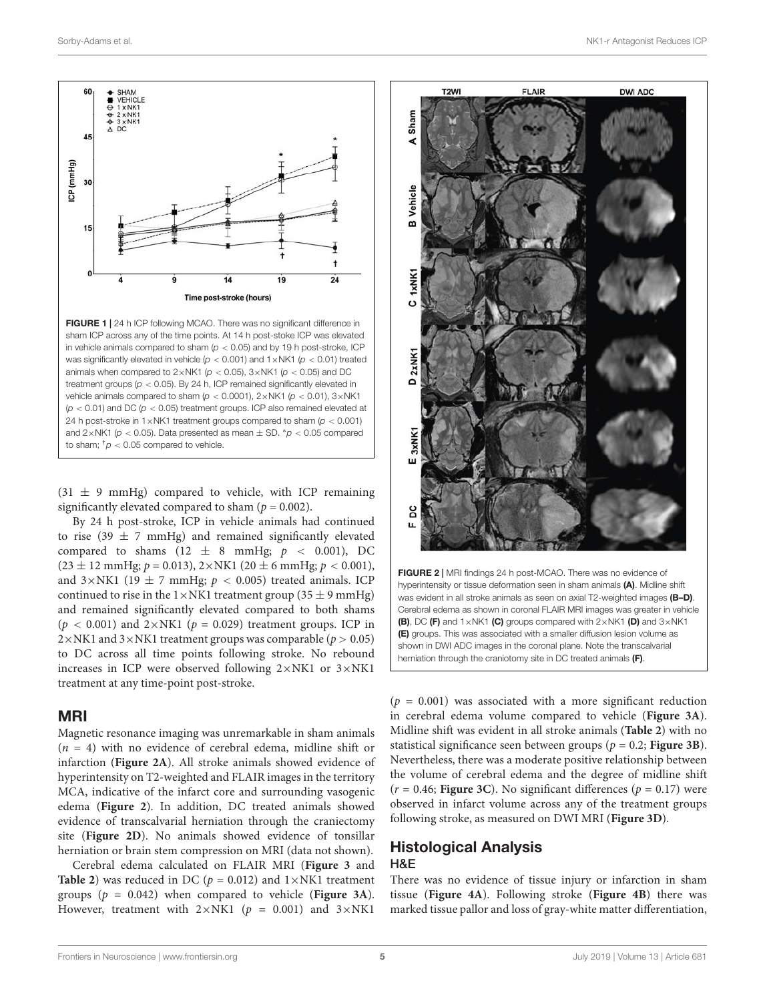

<span id="page-4-0"></span>FIGURE 1 | 24 h ICP following MCAO. There was no significant difference in sham ICP across any of the time points. At 14 h post-stoke ICP was elevated in vehicle animals compared to sham ( $p < 0.05$ ) and by 19 h post-stroke, ICP was significantly elevated in vehicle ( $p < 0.001$ ) and  $1 \times N<sub>K1</sub>$  ( $p < 0.01$ ) treated animals when compared to  $2 \times N$ K1 ( $p < 0.05$ ),  $3 \times N$ K1 ( $p < 0.05$ ) and DC treatment groups ( $p < 0.05$ ). By 24 h, ICP remained significantly elevated in vehicle animals compared to sham ( $p < 0.0001$ ),  $2 \times NK1$  ( $p < 0.01$ ),  $3 \times NK1$  $(p < 0.01)$  and DC  $(p < 0.05)$  treatment groups. ICP also remained elevated at 24 h post-stroke in 1 $\times$ NK1 treatment groups compared to sham ( $p < 0.001$ ) and  $2 \times N$ K1 ( $p < 0.05$ ). Data presented as mean  $\pm$  SD. \* $p < 0.05$  compared to sham;  $\frac{1}{p}$  < 0.05 compared to vehicle.

 $(31 \pm 9 \text{ mmHg})$  compared to vehicle, with ICP remaining significantly elevated compared to sham ( $p = 0.002$ ).

By 24 h post-stroke, ICP in vehicle animals had continued to rise (39  $\pm$  7 mmHg) and remained significantly elevated compared to shams (12  $\pm$  8 mmHg;  $p \le 0.001$ ), DC  $(23 \pm 12 \text{ mmHg}; p = 0.013), 2 \times \text{NK1}$  (20  $\pm$  6 mmHg;  $p < 0.001$ ), and  $3 \times NK1$  (19  $\pm$  7 mmHg;  $p < 0.005$ ) treated animals. ICP continued to rise in the  $1 \times N<sub>K1</sub>$  treatment group (35  $\pm$  9 mmHg) and remained significantly elevated compared to both shams  $(p < 0.001)$  and  $2 \times NK1$  ( $p = 0.029$ ) treatment groups. ICP in  $2 \times NK1$  and  $3 \times NK1$  treatment groups was comparable ( $p > 0.05$ ) to DC across all time points following stroke. No rebound increases in ICP were observed following 2×NK1 or 3×NK1 treatment at any time-point post-stroke.

#### MRI

Magnetic resonance imaging was unremarkable in sham animals  $(n = 4)$  with no evidence of cerebral edema, midline shift or infarction (**[Figure 2A](#page-4-1)**). All stroke animals showed evidence of hyperintensity on T2-weighted and FLAIR images in the territory MCA, indicative of the infarct core and surrounding vasogenic edema (**[Figure 2](#page-4-1)**). In addition, DC treated animals showed evidence of transcalvarial herniation through the craniectomy site (**[Figure 2D](#page-4-1)**). No animals showed evidence of tonsillar herniation or brain stem compression on MRI (data not shown).

Cerebral edema calculated on FLAIR MRI (**[Figure 3](#page-5-0)** and **[Table 2](#page-6-0)**) was reduced in DC ( $p = 0.012$ ) and  $1 \times NKL$  treatment groups (p = 0.042) when compared to vehicle (**[Figure 3A](#page-5-0)**). However, treatment with  $2 \times NK1$  (p = 0.001) and  $3 \times NK1$ 



<span id="page-4-1"></span> $(p = 0.001)$  was associated with a more significant reduction in cerebral edema volume compared to vehicle (**[Figure 3A](#page-5-0)**). Midline shift was evident in all stroke animals (**[Table 2](#page-6-0)**) with no statistical significance seen between groups ( $p = 0.2$ ; **[Figure 3B](#page-5-0)**). Nevertheless, there was a moderate positive relationship between the volume of cerebral edema and the degree of midline shift  $(r = 0.46;$  **[Figure 3C](#page-5-0)**). No significant differences ( $p = 0.17$ ) were observed in infarct volume across any of the treatment groups following stroke, as measured on DWI MRI (**[Figure 3D](#page-5-0)**).

### Histological Analysis H&E

There was no evidence of tissue injury or infarction in sham tissue (**[Figure 4A](#page-7-0)**). Following stroke (**[Figure 4B](#page-7-0)**) there was marked tissue pallor and loss of gray-white matter differentiation,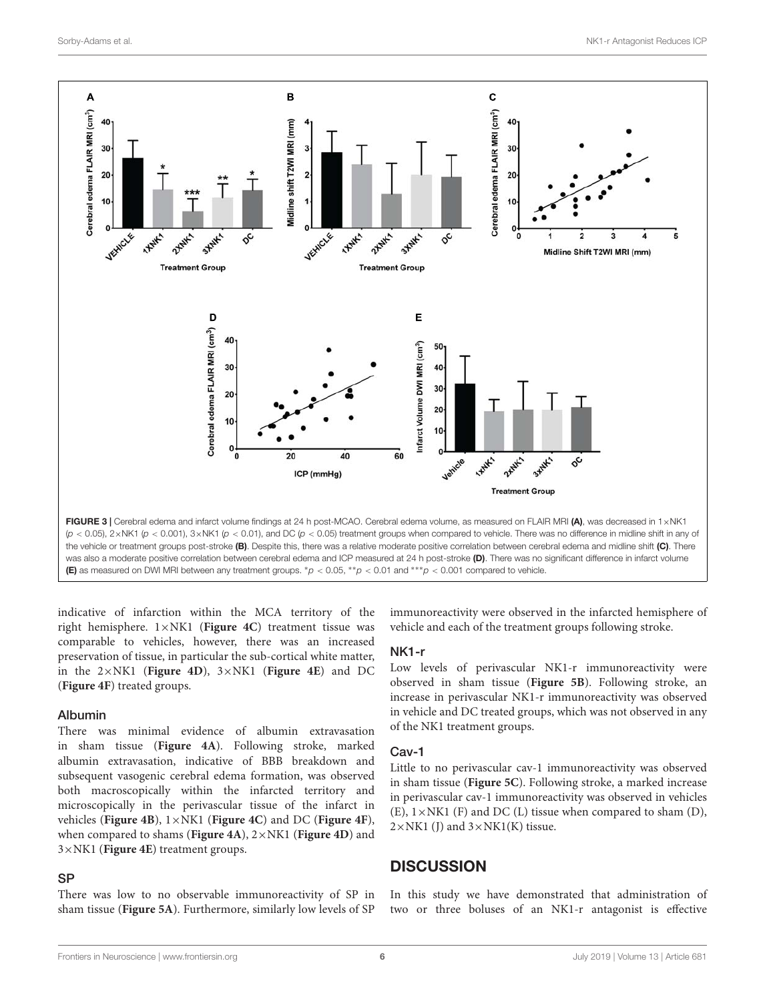

<span id="page-5-0"></span>the vehicle or treatment groups post-stroke (B). Despite this, there was a relative moderate positive correlation between cerebral edema and midline shift (C). There was also a moderate positive correlation between cerebral edema and ICP measured at 24 h post-stroke (D). There was no significant difference in infarct volume (E) as measured on DWI MRI between any treatment groups.  $*_P$  < 0.05,  $*_P$  < 0.01 and  $^{***}$  $_P$  < 0.001 compared to vehicle.

indicative of infarction within the MCA territory of the right hemisphere. 1×NK1 (**[Figure 4C](#page-7-0)**) treatment tissue was comparable to vehicles, however, there was an increased preservation of tissue, in particular the sub-cortical white matter, in the 2×NK1 (**[Figure 4D](#page-7-0)**), 3×NK1 (**[Figure 4E](#page-7-0)**) and DC (**[Figure 4F](#page-7-0)**) treated groups.

#### Albumin

There was minimal evidence of albumin extravasation in sham tissue (**[Figure 4A](#page-7-0)**). Following stroke, marked albumin extravasation, indicative of BBB breakdown and subsequent vasogenic cerebral edema formation, was observed both macroscopically within the infarcted territory and microscopically in the perivascular tissue of the infarct in vehicles (**[Figure 4B](#page-7-0)**), 1×NK1 (**[Figure 4C](#page-7-0)**) and DC (**[Figure 4F](#page-7-0)**), when compared to shams (**[Figure 4A](#page-7-0)**), 2×NK1 (**[Figure 4D](#page-7-0)**) and 3×NK1 (**[Figure 4E](#page-7-0)**) treatment groups.

#### SP

There was low to no observable immunoreactivity of SP in sham tissue (**[Figure 5A](#page-8-0)**). Furthermore, similarly low levels of SP immunoreactivity were observed in the infarcted hemisphere of vehicle and each of the treatment groups following stroke.

#### NK1-r

Low levels of perivascular NK1-r immunoreactivity were observed in sham tissue (**[Figure 5B](#page-8-0)**). Following stroke, an increase in perivascular NK1-r immunoreactivity was observed in vehicle and DC treated groups, which was not observed in any of the NK1 treatment groups.

#### Cav-1

Little to no perivascular cav-1 immunoreactivity was observed in sham tissue (**[Figure 5C](#page-8-0)**). Following stroke, a marked increase in perivascular cav-1 immunoreactivity was observed in vehicles  $(E)$ ,  $1 \times NK1$  (F) and DC (L) tissue when compared to sham (D),  $2\times N K1$  (J) and  $3\times N K1(K)$  tissue.

### **DISCUSSION**

In this study we have demonstrated that administration of two or three boluses of an NK1-r antagonist is effective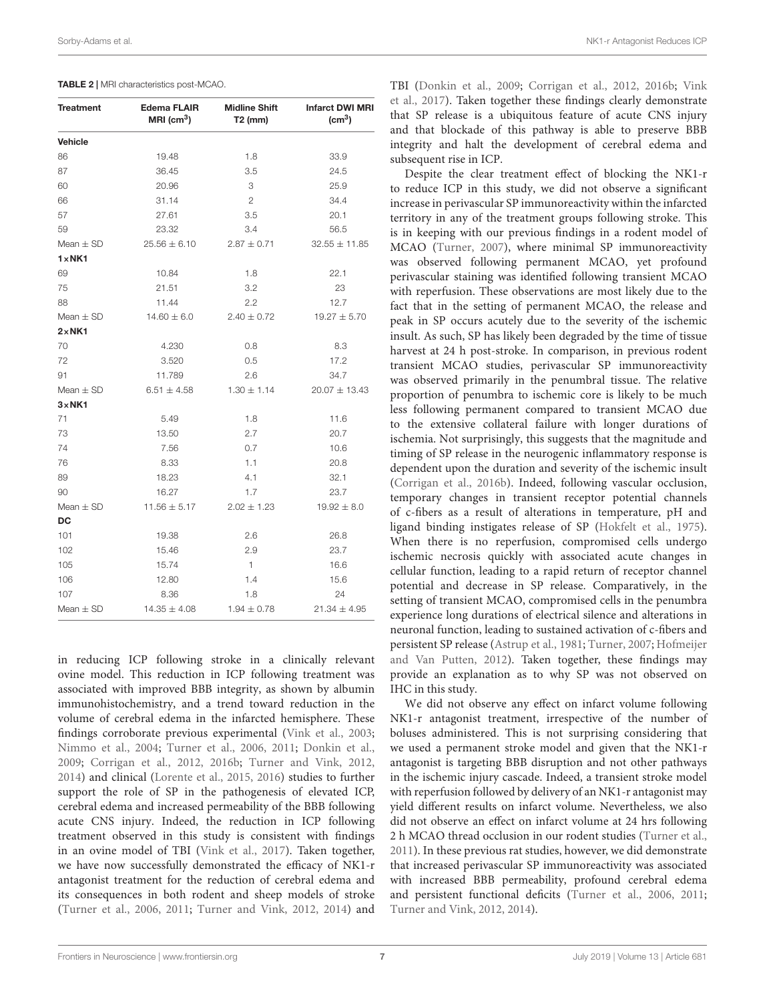| <b>Treatment</b> | Edema FLAIR<br>$MRI$ (cm <sup>3</sup> ) | <b>Midline Shift</b><br>$T2$ (mm) | <b>Infarct DWI MRI</b><br>(cm <sup>3</sup> ) |
|------------------|-----------------------------------------|-----------------------------------|----------------------------------------------|
| <b>Vehicle</b>   |                                         |                                   |                                              |
| 86               | 19.48                                   | 1.8                               | 33.9                                         |
| 87               | 36.45                                   | 3.5                               | 24.5                                         |
| 60               | 20.96                                   | 3                                 | 25.9                                         |
| 66               | 31.14                                   | $\overline{c}$                    | 34.4                                         |
| 57               | 27.61                                   | 3.5                               | 20.1                                         |
| 59               | 23.32                                   | 3.4                               | 56.5                                         |
| Mean $\pm$ SD    | $25.56 \pm 6.10$                        | $2.87 \pm 0.71$                   | $32.55 \pm 11.85$                            |
| $1 \times NK1$   |                                         |                                   |                                              |
| 69               | 10.84                                   | 1.8                               | 22.1                                         |
| 75               | 21.51                                   | 3.2                               | 23                                           |
| 88               | 11.44                                   | 2.2                               | 12.7                                         |
| Mean $\pm$ SD    | $14.60 \pm 6.0$                         | $2.40 \pm 0.72$                   | $19.27 \pm 5.70$                             |
| $2 \times N K1$  |                                         |                                   |                                              |
| 70               | 4.230                                   | 0.8                               | 8.3                                          |
| 72               | 3.520                                   | 0.5                               | 17.2                                         |
| 91               | 11.789                                  | 2.6                               | 34.7                                         |
| Mean $\pm$ SD    | $6.51 \pm 4.58$                         | $1.30 \pm 1.14$                   | $20.07 \pm 13.43$                            |
| $3 \times N K1$  |                                         |                                   |                                              |
| 71               | 5.49                                    | 1.8                               | 11.6                                         |
| 73               | 13.50                                   | 2.7                               | 20.7                                         |
| 74               | 7.56                                    | 0.7                               | 10.6                                         |
| 76               | 8.33                                    | 1.1                               | 20.8                                         |
| 89               | 18.23                                   | 4.1                               | 32.1                                         |
| 90               | 16.27                                   | 1.7                               | 23.7                                         |
| Mean $\pm$ SD    | $11.56 \pm 5.17$                        | $2.02 \pm 1.23$                   | $19.92 \pm 8.0$                              |
| DC               |                                         |                                   |                                              |
| 101              | 19.38                                   | 2.6                               | 26.8                                         |
| 102              | 15.46                                   | 2.9                               | 23.7                                         |
| 105              | 15.74                                   | $\overline{1}$                    | 16.6                                         |
| 106              | 12.80                                   | 1.4                               | 15.6                                         |
| 107              | 8.36                                    | 1.8                               | 24                                           |
| Mean $\pm$ SD    | $14.35 \pm 4.08$                        | $1.94 \pm 0.78$                   | $21.34 \pm 4.95$                             |

<span id="page-6-0"></span>TABLE 2 | MRI characteristics post-MCAO.

in reducing ICP following stroke in a clinically relevant ovine model. This reduction in ICP following treatment was associated with improved BBB integrity, as shown by albumin immunohistochemistry, and a trend toward reduction in the volume of cerebral edema in the infarcted hemisphere. These findings corroborate previous experimental [\(Vink et al.,](#page-11-6) [2003;](#page-11-6) [Nimmo et al.,](#page-11-7) [2004;](#page-11-7) [Turner et al.,](#page-11-4) [2006,](#page-11-4) [2011;](#page-11-8) [Donkin et al.,](#page-10-9) [2009;](#page-10-9) [Corrigan et al.,](#page-10-13) [2012,](#page-10-13) [2016b;](#page-10-14) [Turner and Vink,](#page-11-9) [2012,](#page-11-9) [2014\)](#page-11-10) and clinical [\(Lorente et al.,](#page-10-10) [2015,](#page-10-10) [2016\)](#page-11-11) studies to further support the role of SP in the pathogenesis of elevated ICP, cerebral edema and increased permeability of the BBB following acute CNS injury. Indeed, the reduction in ICP following treatment observed in this study is consistent with findings in an ovine model of TBI [\(Vink et al.,](#page-11-16) [2017\)](#page-11-16). Taken together, we have now successfully demonstrated the efficacy of NK1-r antagonist treatment for the reduction of cerebral edema and its consequences in both rodent and sheep models of stroke [\(Turner et al.,](#page-11-4) [2006,](#page-11-4) [2011;](#page-11-8) [Turner and Vink,](#page-11-9) [2012,](#page-11-9) [2014\)](#page-11-10) and

TBI [\(Donkin et al.,](#page-10-9) [2009;](#page-10-9) [Corrigan et al.,](#page-10-13) [2012,](#page-10-13) [2016b;](#page-10-14) [Vink](#page-11-16) [et al.,](#page-11-16) [2017\)](#page-11-16). Taken together these findings clearly demonstrate that SP release is a ubiquitous feature of acute CNS injury and that blockade of this pathway is able to preserve BBB integrity and halt the development of cerebral edema and subsequent rise in ICP.

Despite the clear treatment effect of blocking the NK1-r to reduce ICP in this study, we did not observe a significant increase in perivascular SP immunoreactivity within the infarcted territory in any of the treatment groups following stroke. This is in keeping with our previous findings in a rodent model of MCAO [\(Turner,](#page-11-20) [2007\)](#page-11-20), where minimal SP immunoreactivity was observed following permanent MCAO, yet profound perivascular staining was identified following transient MCAO with reperfusion. These observations are most likely due to the fact that in the setting of permanent MCAO, the release and peak in SP occurs acutely due to the severity of the ischemic insult. As such, SP has likely been degraded by the time of tissue harvest at 24 h post-stroke. In comparison, in previous rodent transient MCAO studies, perivascular SP immunoreactivity was observed primarily in the penumbral tissue. The relative proportion of penumbra to ischemic core is likely to be much less following permanent compared to transient MCAO due to the extensive collateral failure with longer durations of ischemia. Not surprisingly, this suggests that the magnitude and timing of SP release in the neurogenic inflammatory response is dependent upon the duration and severity of the ischemic insult [\(Corrigan et al.,](#page-10-14) [2016b\)](#page-10-14). Indeed, following vascular occlusion, temporary changes in transient receptor potential channels of c-fibers as a result of alterations in temperature, pH and ligand binding instigates release of SP [\(Hokfelt et al.,](#page-10-15) [1975\)](#page-10-15). When there is no reperfusion, compromised cells undergo ischemic necrosis quickly with associated acute changes in cellular function, leading to a rapid return of receptor channel potential and decrease in SP release. Comparatively, in the setting of transient MCAO, compromised cells in the penumbra experience long durations of electrical silence and alterations in neuronal function, leading to sustained activation of c-fibers and persistent SP release [\(Astrup et al.,](#page-10-16) [1981;](#page-10-16) [Turner,](#page-11-20) [2007;](#page-11-20) [Hofmeijer](#page-10-17) [and Van Putten,](#page-10-17) [2012\)](#page-10-17). Taken together, these findings may provide an explanation as to why SP was not observed on IHC in this study.

We did not observe any effect on infarct volume following NK1-r antagonist treatment, irrespective of the number of boluses administered. This is not surprising considering that we used a permanent stroke model and given that the NK1-r antagonist is targeting BBB disruption and not other pathways in the ischemic injury cascade. Indeed, a transient stroke model with reperfusion followed by delivery of an NK1-r antagonist may yield different results on infarct volume. Nevertheless, we also did not observe an effect on infarct volume at 24 hrs following 2 h MCAO thread occlusion in our rodent studies [\(Turner et al.,](#page-11-8) [2011\)](#page-11-8). In these previous rat studies, however, we did demonstrate that increased perivascular SP immunoreactivity was associated with increased BBB permeability, profound cerebral edema and persistent functional deficits [\(Turner et al.,](#page-11-4) [2006,](#page-11-4) [2011;](#page-11-8) [Turner and Vink,](#page-11-9) [2012,](#page-11-9) [2014\)](#page-11-10).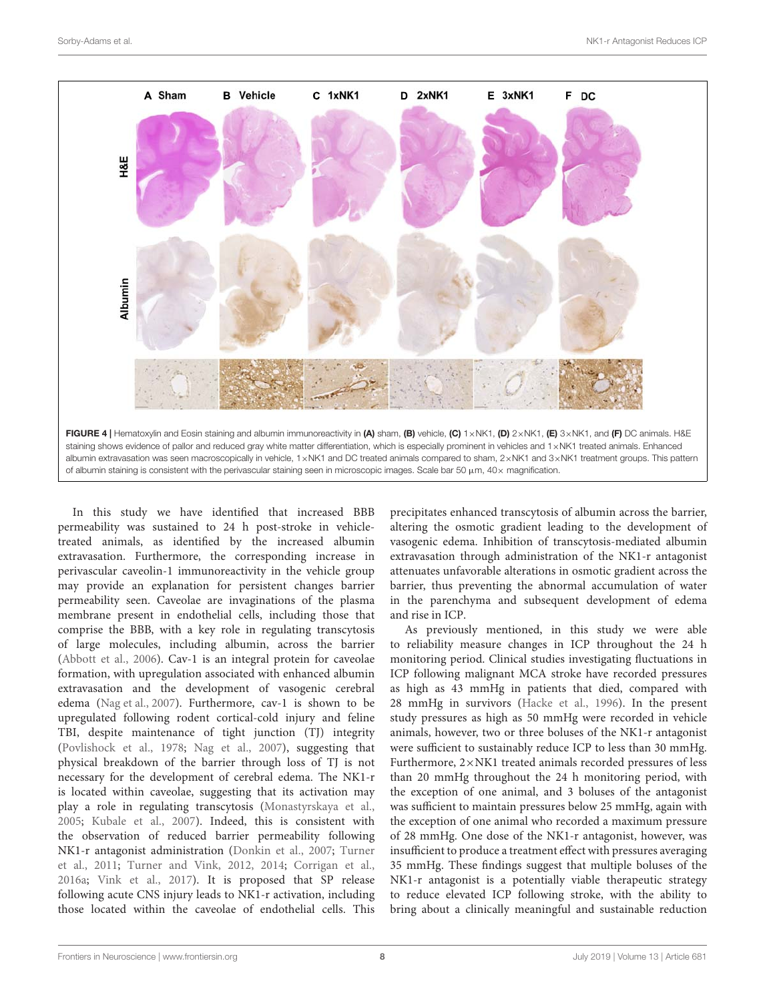

<span id="page-7-0"></span>In this study we have identified that increased BBB permeability was sustained to 24 h post-stroke in vehicletreated animals, as identified by the increased albumin extravasation. Furthermore, the corresponding increase in perivascular caveolin-1 immunoreactivity in the vehicle group may provide an explanation for persistent changes barrier permeability seen. Caveolae are invaginations of the plasma membrane present in endothelial cells, including those that comprise the BBB, with a key role in regulating transcytosis of large molecules, including albumin, across the barrier [\(Abbott et al.,](#page-10-18) [2006\)](#page-10-18). Cav-1 is an integral protein for caveolae formation, with upregulation associated with enhanced albumin extravasation and the development of vasogenic cerebral edema [\(Nag et al.,](#page-11-21) [2007\)](#page-11-21). Furthermore, cav-1 is shown to be upregulated following rodent cortical-cold injury and feline TBI, despite maintenance of tight junction (TJ) integrity [\(Povlishock et al.,](#page-11-22) [1978;](#page-11-22) [Nag et al.,](#page-11-21) [2007\)](#page-11-21), suggesting that physical breakdown of the barrier through loss of TJ is not necessary for the development of cerebral edema. The NK1-r is located within caveolae, suggesting that its activation may play a role in regulating transcytosis [\(Monastyrskaya et al.,](#page-11-23) [2005;](#page-11-23) [Kubale et al.,](#page-10-19) [2007\)](#page-10-19). Indeed, this is consistent with the observation of reduced barrier permeability following NK1-r antagonist administration [\(Donkin et al.,](#page-10-20) [2007;](#page-10-20) [Turner](#page-11-8) [et al.,](#page-11-8) [2011;](#page-11-8) [Turner and Vink,](#page-11-9) [2012,](#page-11-9) [2014;](#page-11-10) [Corrigan et al.,](#page-10-5) [2016a;](#page-10-5) [Vink et al.,](#page-11-16) [2017\)](#page-11-16). It is proposed that SP release following acute CNS injury leads to NK1-r activation, including those located within the caveolae of endothelial cells. This

precipitates enhanced transcytosis of albumin across the barrier, altering the osmotic gradient leading to the development of vasogenic edema. Inhibition of transcytosis-mediated albumin extravasation through administration of the NK1-r antagonist attenuates unfavorable alterations in osmotic gradient across the barrier, thus preventing the abnormal accumulation of water in the parenchyma and subsequent development of edema and rise in ICP.

As previously mentioned, in this study we were able to reliability measure changes in ICP throughout the 24 h monitoring period. Clinical studies investigating fluctuations in ICP following malignant MCA stroke have recorded pressures as high as 43 mmHg in patients that died, compared with 28 mmHg in survivors [\(Hacke et al.,](#page-10-0) [1996\)](#page-10-0). In the present study pressures as high as 50 mmHg were recorded in vehicle animals, however, two or three boluses of the NK1-r antagonist were sufficient to sustainably reduce ICP to less than 30 mmHg. Furthermore, 2×NK1 treated animals recorded pressures of less than 20 mmHg throughout the 24 h monitoring period, with the exception of one animal, and 3 boluses of the antagonist was sufficient to maintain pressures below 25 mmHg, again with the exception of one animal who recorded a maximum pressure of 28 mmHg. One dose of the NK1-r antagonist, however, was insufficient to produce a treatment effect with pressures averaging 35 mmHg. These findings suggest that multiple boluses of the NK1-r antagonist is a potentially viable therapeutic strategy to reduce elevated ICP following stroke, with the ability to bring about a clinically meaningful and sustainable reduction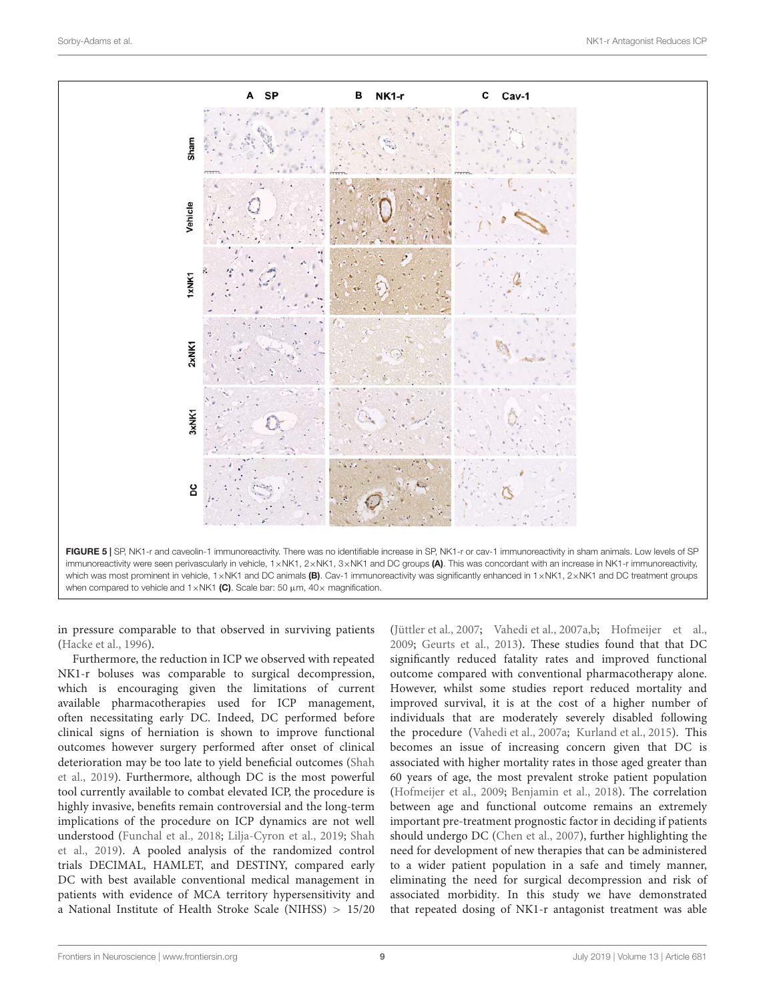

<span id="page-8-0"></span>in pressure comparable to that observed in surviving patients [\(Hacke et al.,](#page-10-0) [1996\)](#page-10-0).

Furthermore, the reduction in ICP we observed with repeated NK1-r boluses was comparable to surgical decompression, which is encouraging given the limitations of current available pharmacotherapies used for ICP management, often necessitating early DC. Indeed, DC performed before clinical signs of herniation is shown to improve functional outcomes however surgery performed after onset of clinical deterioration may be too late to yield beneficial outcomes [\(Shah](#page-11-24) [et al.,](#page-11-24) [2019\)](#page-11-24). Furthermore, although DC is the most powerful tool currently available to combat elevated ICP, the procedure is highly invasive, benefits remain controversial and the long-term implications of the procedure on ICP dynamics are not well understood [\(Funchal et al.,](#page-10-21) [2018;](#page-10-21) [Lilja-Cyron et al.,](#page-10-22) [2019;](#page-10-22) [Shah](#page-11-24) [et al.,](#page-11-24) [2019\)](#page-11-24). A pooled analysis of the randomized control trials DECIMAL, HAMLET, and DESTINY, compared early DC with best available conventional medical management in patients with evidence of MCA territory hypersensitivity and a National Institute of Health Stroke Scale (NIHSS) > 15/20

[\(Jüttler et al.,](#page-10-2) [2007;](#page-10-2) [Vahedi et al.,](#page-11-25) [2007a,](#page-11-25)[b;](#page-11-26) [Hofmeijer et al.,](#page-10-23) [2009;](#page-10-23) [Geurts et al.,](#page-10-24) [2013\)](#page-10-24). These studies found that that DC significantly reduced fatality rates and improved functional outcome compared with conventional pharmacotherapy alone. However, whilst some studies report reduced mortality and improved survival, it is at the cost of a higher number of individuals that are moderately severely disabled following the procedure [\(Vahedi et al.,](#page-11-25) [2007a;](#page-11-25) [Kurland et al.,](#page-10-25) [2015\)](#page-10-25). This becomes an issue of increasing concern given that DC is associated with higher mortality rates in those aged greater than 60 years of age, the most prevalent stroke patient population [\(Hofmeijer et al.,](#page-10-23) [2009;](#page-10-23) [Benjamin et al.,](#page-10-26) [2018\)](#page-10-26). The correlation between age and functional outcome remains an extremely important pre-treatment prognostic factor in deciding if patients should undergo DC [\(Chen et al.,](#page-10-27) [2007\)](#page-10-27), further highlighting the need for development of new therapies that can be administered to a wider patient population in a safe and timely manner, eliminating the need for surgical decompression and risk of associated morbidity. In this study we have demonstrated that repeated dosing of NK1-r antagonist treatment was able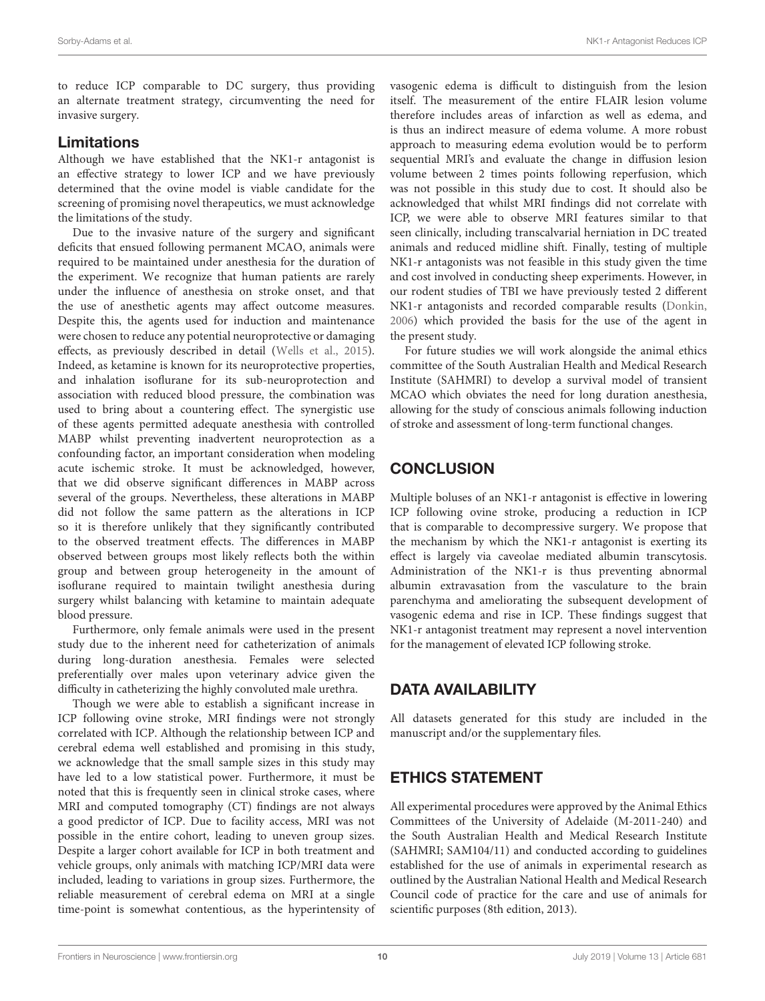to reduce ICP comparable to DC surgery, thus providing an alternate treatment strategy, circumventing the need for invasive surgery.

### Limitations

Although we have established that the NK1-r antagonist is an effective strategy to lower ICP and we have previously determined that the ovine model is viable candidate for the screening of promising novel therapeutics, we must acknowledge the limitations of the study.

Due to the invasive nature of the surgery and significant deficits that ensued following permanent MCAO, animals were required to be maintained under anesthesia for the duration of the experiment. We recognize that human patients are rarely under the influence of anesthesia on stroke onset, and that the use of anesthetic agents may affect outcome measures. Despite this, the agents used for induction and maintenance were chosen to reduce any potential neuroprotective or damaging effects, as previously described in detail [\(Wells et al.,](#page-11-15) [2015\)](#page-11-15). Indeed, as ketamine is known for its neuroprotective properties, and inhalation isoflurane for its sub-neuroprotection and association with reduced blood pressure, the combination was used to bring about a countering effect. The synergistic use of these agents permitted adequate anesthesia with controlled MABP whilst preventing inadvertent neuroprotection as a confounding factor, an important consideration when modeling acute ischemic stroke. It must be acknowledged, however, that we did observe significant differences in MABP across several of the groups. Nevertheless, these alterations in MABP did not follow the same pattern as the alterations in ICP so it is therefore unlikely that they significantly contributed to the observed treatment effects. The differences in MABP observed between groups most likely reflects both the within group and between group heterogeneity in the amount of isoflurane required to maintain twilight anesthesia during surgery whilst balancing with ketamine to maintain adequate blood pressure.

Furthermore, only female animals were used in the present study due to the inherent need for catheterization of animals during long-duration anesthesia. Females were selected preferentially over males upon veterinary advice given the difficulty in catheterizing the highly convoluted male urethra.

Though we were able to establish a significant increase in ICP following ovine stroke, MRI findings were not strongly correlated with ICP. Although the relationship between ICP and cerebral edema well established and promising in this study, we acknowledge that the small sample sizes in this study may have led to a low statistical power. Furthermore, it must be noted that this is frequently seen in clinical stroke cases, where MRI and computed tomography (CT) findings are not always a good predictor of ICP. Due to facility access, MRI was not possible in the entire cohort, leading to uneven group sizes. Despite a larger cohort available for ICP in both treatment and vehicle groups, only animals with matching ICP/MRI data were included, leading to variations in group sizes. Furthermore, the reliable measurement of cerebral edema on MRI at a single time-point is somewhat contentious, as the hyperintensity of vasogenic edema is difficult to distinguish from the lesion itself. The measurement of the entire FLAIR lesion volume therefore includes areas of infarction as well as edema, and is thus an indirect measure of edema volume. A more robust approach to measuring edema evolution would be to perform sequential MRI's and evaluate the change in diffusion lesion volume between 2 times points following reperfusion, which was not possible in this study due to cost. It should also be acknowledged that whilst MRI findings did not correlate with ICP, we were able to observe MRI features similar to that seen clinically, including transcalvarial herniation in DC treated animals and reduced midline shift. Finally, testing of multiple NK1-r antagonists was not feasible in this study given the time and cost involved in conducting sheep experiments. However, in our rodent studies of TBI we have previously tested 2 different NK1-r antagonists and recorded comparable results [\(Donkin,](#page-10-28) [2006\)](#page-10-28) which provided the basis for the use of the agent in the present study.

For future studies we will work alongside the animal ethics committee of the South Australian Health and Medical Research Institute (SAHMRI) to develop a survival model of transient MCAO which obviates the need for long duration anesthesia, allowing for the study of conscious animals following induction of stroke and assessment of long-term functional changes.

# **CONCLUSION**

Multiple boluses of an NK1-r antagonist is effective in lowering ICP following ovine stroke, producing a reduction in ICP that is comparable to decompressive surgery. We propose that the mechanism by which the NK1-r antagonist is exerting its effect is largely via caveolae mediated albumin transcytosis. Administration of the NK1-r is thus preventing abnormal albumin extravasation from the vasculature to the brain parenchyma and ameliorating the subsequent development of vasogenic edema and rise in ICP. These findings suggest that NK1-r antagonist treatment may represent a novel intervention for the management of elevated ICP following stroke.

# DATA AVAILABILITY

All datasets generated for this study are included in the manuscript and/or the supplementary files.

# ETHICS STATEMENT

All experimental procedures were approved by the Animal Ethics Committees of the University of Adelaide (M-2011-240) and the South Australian Health and Medical Research Institute (SAHMRI; SAM104/11) and conducted according to guidelines established for the use of animals in experimental research as outlined by the Australian National Health and Medical Research Council code of practice for the care and use of animals for scientific purposes (8th edition, 2013).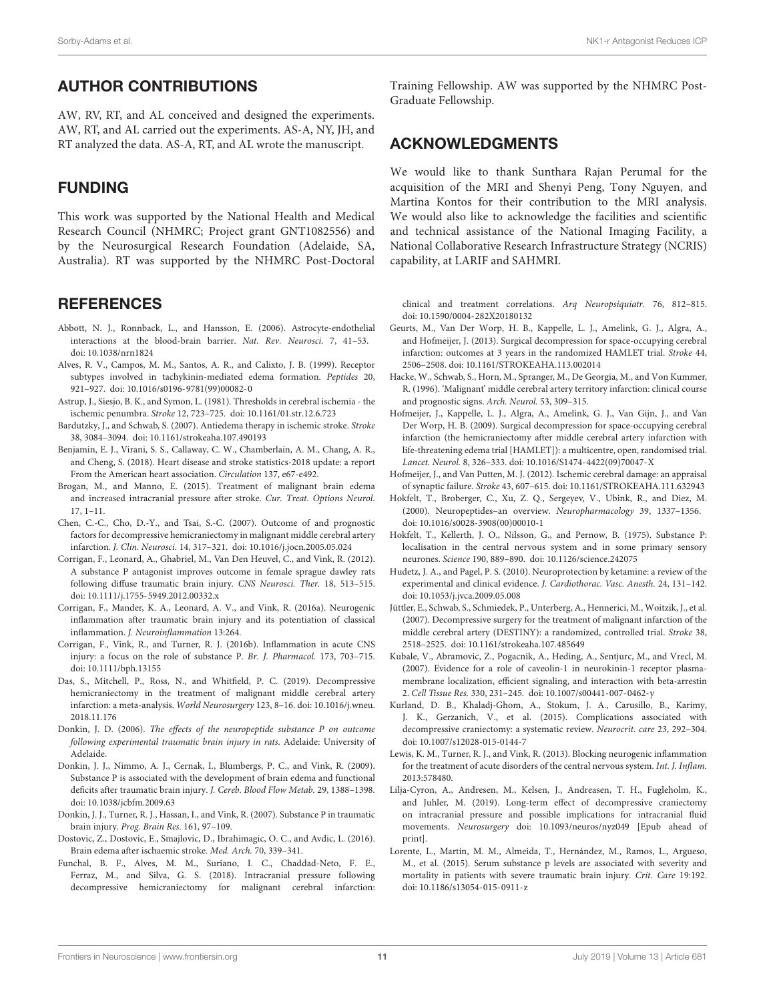### AUTHOR CONTRIBUTIONS

AW, RV, RT, and AL conceived and designed the experiments. AW, RT, and AL carried out the experiments. AS-A, NY, JH, and RT analyzed the data. AS-A, RT, and AL wrote the manuscript.

## FUNDING

This work was supported by the National Health and Medical Research Council (NHMRC; Project grant GNT1082556) and by the Neurosurgical Research Foundation (Adelaide, SA, Australia). RT was supported by the NHMRC Post-Doctoral

### **REFERENCES**

- <span id="page-10-18"></span>Abbott, N. J., Ronnback, L., and Hansson, E. (2006). Astrocyte-endothelial interactions at the blood-brain barrier. Nat. Rev. Neurosci. 7, 41–53. [doi: 10.1038/nrn1824](https://doi.org/10.1038/nrn1824)
- <span id="page-10-7"></span>Alves, R. V., Campos, M. M., Santos, A. R., and Calixto, J. B. (1999). Receptor subtypes involved in tachykinin-mediated edema formation. Peptides 20, 921–927. [doi: 10.1016/s0196-9781\(99\)00082-0](https://doi.org/10.1016/s0196-9781(99)00082-0)
- <span id="page-10-16"></span>Astrup, J., Siesjo, B. K., and Symon, L. (1981). Thresholds in cerebral ischemia - the ischemic penumbra. Stroke 12, 723–725. [doi: 10.1161/01.str.12.6.723](https://doi.org/10.1161/01.str.12.6.723)
- <span id="page-10-4"></span>Bardutzky, J., and Schwab, S. (2007). Antiedema therapy in ischemic stroke. Stroke 38, 3084–3094. [doi: 10.1161/strokeaha.107.490193](https://doi.org/10.1161/strokeaha.107.490193)
- <span id="page-10-26"></span>Benjamin, E. J., Virani, S. S., Callaway, C. W., Chamberlain, A. M., Chang, A. R., and Cheng, S. (2018). Heart disease and stroke statistics-2018 update: a report From the American heart association. Circulation 137, e67-e492.
- <span id="page-10-1"></span>Brogan, M., and Manno, E. (2015). Treatment of malignant brain edema and increased intracranial pressure after stroke. Cur. Treat. Options Neurol. 17, 1–11.
- <span id="page-10-27"></span>Chen, C.-C., Cho, D.-Y., and Tsai, S.-C. (2007). Outcome of and prognostic factors for decompressive hemicraniectomy in malignant middle cerebral artery infarction. J. Clin. Neurosci. 14, 317–321. [doi: 10.1016/j.jocn.2005.05.024](https://doi.org/10.1016/j.jocn.2005.05.024)
- <span id="page-10-13"></span>Corrigan, F., Leonard, A., Ghabriel, M., Van Den Heuvel, C., and Vink, R. (2012). A substance P antagonist improves outcome in female sprague dawley rats following diffuse traumatic brain injury. CNS Neurosci. Ther. 18, 513–515. [doi: 10.1111/j.1755-5949.2012.00332.x](https://doi.org/10.1111/j.1755-5949.2012.00332.x)
- <span id="page-10-5"></span>Corrigan, F., Mander, K. A., Leonard, A. V., and Vink, R. (2016a). Neurogenic inflammation after traumatic brain injury and its potentiation of classical inflammation. J. Neuroinflammation 13:264.
- <span id="page-10-14"></span>Corrigan, F., Vink, R., and Turner, R. J. (2016b). Inflammation in acute CNS injury: a focus on the role of substance P. Br. J. Pharmacol. 173, 703–715. [doi: 10.1111/bph.13155](https://doi.org/10.1111/bph.13155)
- <span id="page-10-3"></span>Das, S., Mitchell, P., Ross, N., and Whitfield, P. C. (2019). Decompressive hemicraniectomy in the treatment of malignant middle cerebral artery infarction: a meta-analysis. World Neurosurgery 123, 8–16. [doi: 10.1016/j.wneu.](https://doi.org/10.1016/j.wneu.2018.11.176) [2018.11.176](https://doi.org/10.1016/j.wneu.2018.11.176)
- <span id="page-10-28"></span>Donkin, J. D. (2006). The effects of the neuropeptide substance P on outcome following experimental traumatic brain injury in rats. Adelaide: University of Adelaide.
- <span id="page-10-9"></span>Donkin, J. J., Nimmo, A. J., Cernak, I., Blumbergs, P. C., and Vink, R. (2009). Substance P is associated with the development of brain edema and functional deficits after traumatic brain injury. J. Cereb. Blood Flow Metab. 29, 1388–1398. [doi: 10.1038/jcbfm.2009.63](https://doi.org/10.1038/jcbfm.2009.63)
- <span id="page-10-20"></span>Donkin, J. J., Turner, R. J., Hassan, I., and Vink, R. (2007). Substance P in traumatic brain injury. Prog. Brain Res. 161, 97–109.
- <span id="page-10-11"></span>Dostovic, Z., Dostovic, E., Smajlovic, D., Ibrahimagic, O. C., and Avdic, L. (2016). Brain edema after ischaemic stroke. Med. Arch. 70, 339–341.
- <span id="page-10-21"></span>Funchal, B. F., Alves, M. M., Suriano, I. C., Chaddad-Neto, F. E., Ferraz, M., and Silva, G. S. (2018). Intracranial pressure following decompressive hemicraniectomy for malignant cerebral infarction:

Training Fellowship. AW was supported by the NHMRC Post-Graduate Fellowship.

### ACKNOWLEDGMENTS

We would like to thank Sunthara Rajan Perumal for the acquisition of the MRI and Shenyi Peng, Tony Nguyen, and Martina Kontos for their contribution to the MRI analysis. We would also like to acknowledge the facilities and scientific and technical assistance of the National Imaging Facility, a National Collaborative Research Infrastructure Strategy (NCRIS) capability, at LARIF and SAHMRI.

clinical and treatment correlations. Arq Neuropsiquiatr. 76, 812–815. [doi: 10.1590/0004-282X20180132](https://doi.org/10.1590/0004-282X20180132)

- <span id="page-10-24"></span>Geurts, M., Van Der Worp, H. B., Kappelle, L. J., Amelink, G. J., Algra, A., and Hofmeijer, J. (2013). Surgical decompression for space-occupying cerebral infarction: outcomes at 3 years in the randomized HAMLET trial. Stroke 44, 2506–2508. [doi: 10.1161/STROKEAHA.113.002014](https://doi.org/10.1161/STROKEAHA.113.002014)
- <span id="page-10-0"></span>Hacke, W., Schwab, S., Horn, M., Spranger, M., De Georgia, M., and Von Kummer, R. (1996). 'Malignant' middle cerebral artery territory infarction: clinical course and prognostic signs. Arch. Neurol. 53, 309–315.
- <span id="page-10-23"></span>Hofmeijer, J., Kappelle, L. J., Algra, A., Amelink, G. J., Van Gijn, J., and Van Der Worp, H. B. (2009). Surgical decompression for space-occupying cerebral infarction (the hemicraniectomy after middle cerebral artery infarction with life-threatening edema trial [HAMLET]): a multicentre, open, randomised trial. Lancet. Neurol. 8, 326–333. [doi: 10.1016/S1474-4422\(09\)70047-X](https://doi.org/10.1016/S1474-4422(09)70047-X)
- <span id="page-10-17"></span>Hofmeijer, J., and Van Putten, M. J. (2012). Ischemic cerebral damage: an appraisal of synaptic failure. Stroke 43, 607–615. [doi: 10.1161/STROKEAHA.111.632943](https://doi.org/10.1161/STROKEAHA.111.632943)
- <span id="page-10-6"></span>Hokfelt, T., Broberger, C., Xu, Z. Q., Sergeyev, V., Ubink, R., and Diez, M. (2000). Neuropeptides–an overview. Neuropharmacology 39, 1337–1356. [doi: 10.1016/s0028-3908\(00\)00010-1](https://doi.org/10.1016/s0028-3908(00)00010-1)
- <span id="page-10-15"></span>Hokfelt, T., Kellerth, J. O., Nilsson, G., and Pernow, B. (1975). Substance P: localisation in the central nervous system and in some primary sensory neurones. Science 190, 889–890. [doi: 10.1126/science.242075](https://doi.org/10.1126/science.242075)
- <span id="page-10-12"></span>Hudetz, J. A., and Pagel, P. S. (2010). Neuroprotection by ketamine: a review of the experimental and clinical evidence. J. Cardiothorac. Vasc. Anesth. 24, 131–142. [doi: 10.1053/j.jvca.2009.05.008](https://doi.org/10.1053/j.jvca.2009.05.008)
- <span id="page-10-2"></span>Jüttler, E., Schwab, S., Schmiedek, P., Unterberg, A., Hennerici, M., Woitzik, J., et al. (2007). Decompressive surgery for the treatment of malignant infarction of the middle cerebral artery (DESTINY): a randomized, controlled trial. Stroke 38, 2518–2525. [doi: 10.1161/strokeaha.107.485649](https://doi.org/10.1161/strokeaha.107.485649)
- <span id="page-10-19"></span>Kubale, V., Abramovic, Z., Pogacnik, A., Heding, A., Sentjurc, M., and Vrecl, M. (2007). Evidence for a role of caveolin-1 in neurokinin-1 receptor plasmamembrane localization, efficient signaling, and interaction with beta-arrestin 2. Cell Tissue Res. 330, 231–245. [doi: 10.1007/s00441-007-0462-y](https://doi.org/10.1007/s00441-007-0462-y)
- <span id="page-10-25"></span>Kurland, D. B., Khaladj-Ghom, A., Stokum, J. A., Carusillo, B., Karimy, J. K., Gerzanich, V., et al. (2015). Complications associated with decompressive craniectomy: a systematic review. Neurocrit. care 23, 292–304. [doi: 10.1007/s12028-015-0144-7](https://doi.org/10.1007/s12028-015-0144-7)
- <span id="page-10-8"></span>Lewis, K. M., Turner, R. J., and Vink, R. (2013). Blocking neurogenic inflammation for the treatment of acute disorders of the central nervous system. Int. J. Inflam. 2013:578480.
- <span id="page-10-22"></span>Lilja-Cyron, A., Andresen, M., Kelsen, J., Andreasen, T. H., Fugleholm, K., and Juhler, M. (2019). Long-term effect of decompressive craniectomy on intracranial pressure and possible implications for intracranial fluid movements. Neurosurgery [doi: 10.1093/neuros/nyz049](https://doi.org/10.1093/neuros/nyz049) [Epub ahead of print].
- <span id="page-10-10"></span>Lorente, L., Martín, M. M., Almeida, T., Hernández, M., Ramos, L., Argueso, M., et al. (2015). Serum substance p levels are associated with severity and mortality in patients with severe traumatic brain injury. Crit. Care 19:192. [doi: 10.1186/s13054-015-0911-z](https://doi.org/10.1186/s13054-015-0911-z)